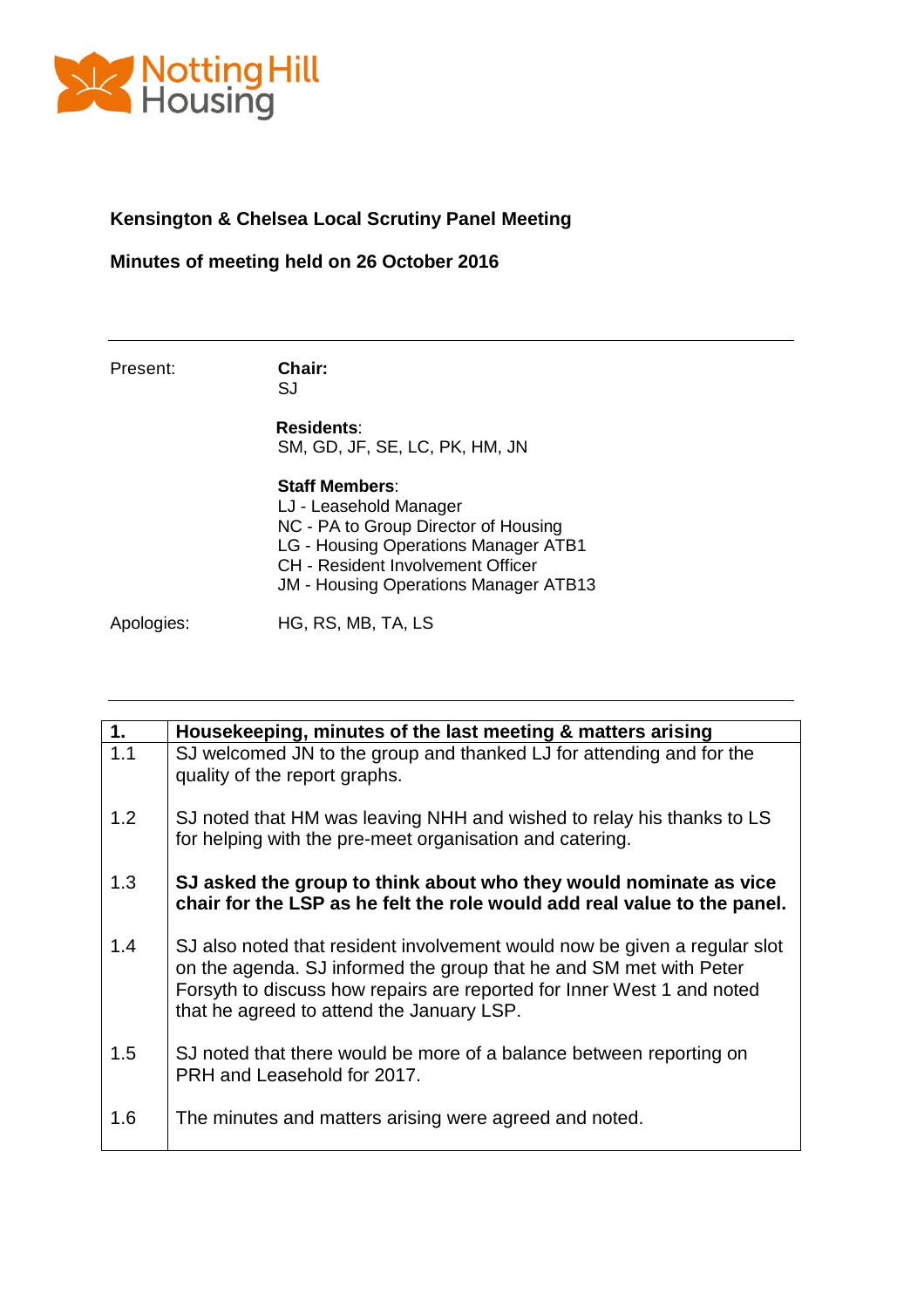

## **Kensington & Chelsea Local Scrutiny Panel Meeting**

## **Minutes of meeting held on 26 October 2016**

Present: **Chair:**

SJ

**Residents**: SM, GD, JF, SE, LC, PK, HM, JN

**Staff Members**: LJ - Leasehold Manager NC - PA to Group Director of Housing LG - Housing Operations Manager ATB1 CH - Resident Involvement Officer JM - Housing Operations Manager ATB13

Apologies: HG, RS, MB, TA, LS

| 1.  | Housekeeping, minutes of the last meeting & matters arising                                                                                                                                                                                                            |
|-----|------------------------------------------------------------------------------------------------------------------------------------------------------------------------------------------------------------------------------------------------------------------------|
| 1.1 | SJ welcomed JN to the group and thanked LJ for attending and for the<br>quality of the report graphs.                                                                                                                                                                  |
| 1.2 | SJ noted that HM was leaving NHH and wished to relay his thanks to LS<br>for helping with the pre-meet organisation and catering.                                                                                                                                      |
| 1.3 | SJ asked the group to think about who they would nominate as vice<br>chair for the LSP as he felt the role would add real value to the panel.                                                                                                                          |
| 1.4 | SJ also noted that resident involvement would now be given a regular slot<br>on the agenda. SJ informed the group that he and SM met with Peter<br>Forsyth to discuss how repairs are reported for Inner West 1 and noted<br>that he agreed to attend the January LSP. |
| 1.5 | SJ noted that there would be more of a balance between reporting on<br>PRH and Leasehold for 2017.                                                                                                                                                                     |
| 1.6 | The minutes and matters arising were agreed and noted.                                                                                                                                                                                                                 |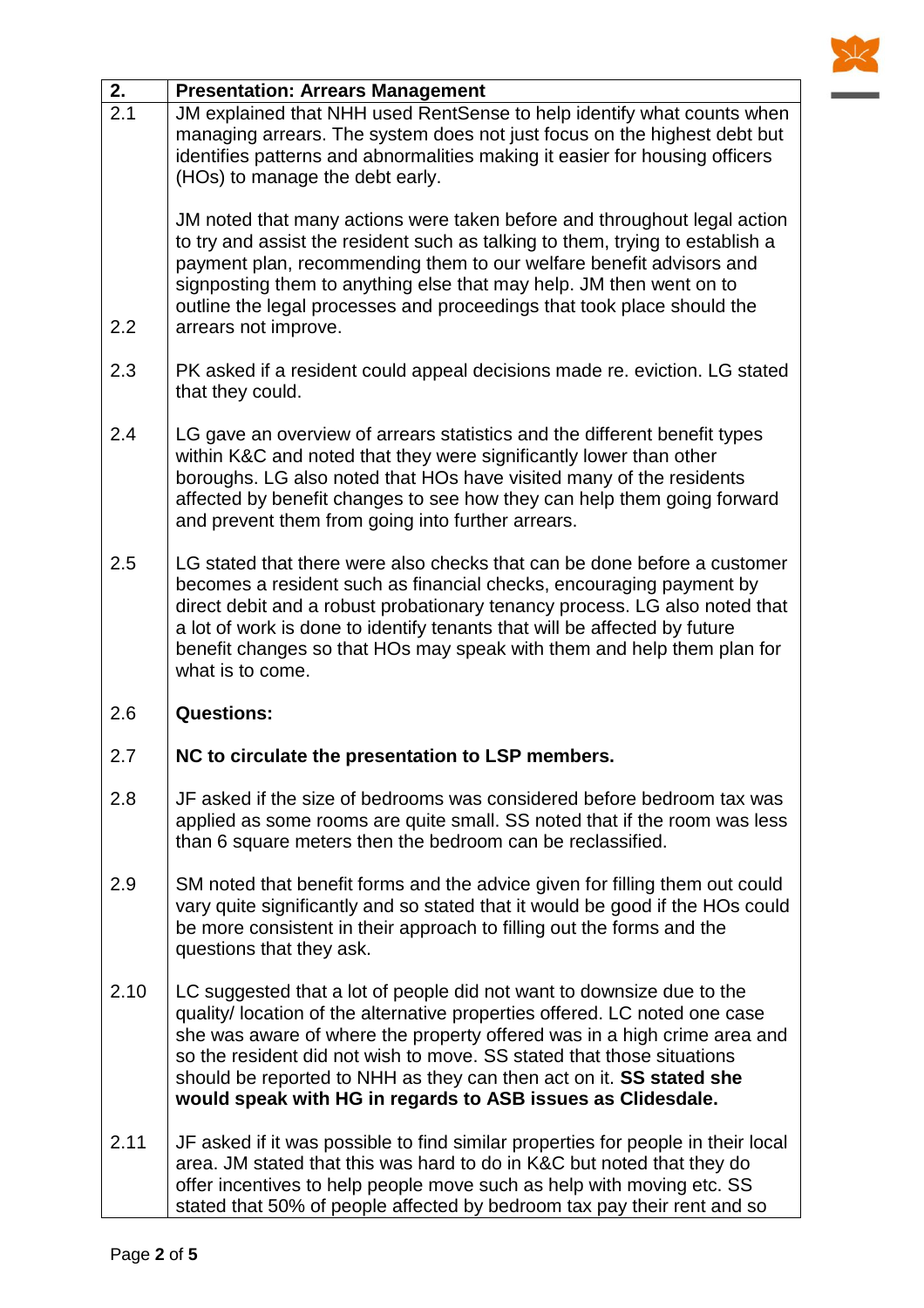

| 2.   | <b>Presentation: Arrears Management</b>                                                                                                                                                                                                                                                                                                                                                                                                        |
|------|------------------------------------------------------------------------------------------------------------------------------------------------------------------------------------------------------------------------------------------------------------------------------------------------------------------------------------------------------------------------------------------------------------------------------------------------|
| 2.1  | JM explained that NHH used RentSense to help identify what counts when<br>managing arrears. The system does not just focus on the highest debt but<br>identifies patterns and abnormalities making it easier for housing officers<br>(HOs) to manage the debt early.                                                                                                                                                                           |
| 2.2  | JM noted that many actions were taken before and throughout legal action<br>to try and assist the resident such as talking to them, trying to establish a<br>payment plan, recommending them to our welfare benefit advisors and<br>signposting them to anything else that may help. JM then went on to<br>outline the legal processes and proceedings that took place should the<br>arrears not improve.                                      |
| 2.3  | PK asked if a resident could appeal decisions made re. eviction. LG stated<br>that they could.                                                                                                                                                                                                                                                                                                                                                 |
| 2.4  | LG gave an overview of arrears statistics and the different benefit types<br>within K&C and noted that they were significantly lower than other<br>boroughs. LG also noted that HOs have visited many of the residents<br>affected by benefit changes to see how they can help them going forward<br>and prevent them from going into further arrears.                                                                                         |
| 2.5  | LG stated that there were also checks that can be done before a customer<br>becomes a resident such as financial checks, encouraging payment by<br>direct debit and a robust probationary tenancy process. LG also noted that<br>a lot of work is done to identify tenants that will be affected by future<br>benefit changes so that HOs may speak with them and help them plan for<br>what is to come.                                       |
| 2.6  | <b>Questions:</b>                                                                                                                                                                                                                                                                                                                                                                                                                              |
| 2.7  | NC to circulate the presentation to LSP members.                                                                                                                                                                                                                                                                                                                                                                                               |
| 2.8  | JF asked if the size of bedrooms was considered before bedroom tax was<br>applied as some rooms are quite small. SS noted that if the room was less<br>than 6 square meters then the bedroom can be reclassified.                                                                                                                                                                                                                              |
| 2.9  | SM noted that benefit forms and the advice given for filling them out could<br>vary quite significantly and so stated that it would be good if the HOs could<br>be more consistent in their approach to filling out the forms and the<br>questions that they ask.                                                                                                                                                                              |
| 2.10 | LC suggested that a lot of people did not want to downsize due to the<br>quality/ location of the alternative properties offered. LC noted one case<br>she was aware of where the property offered was in a high crime area and<br>so the resident did not wish to move. SS stated that those situations<br>should be reported to NHH as they can then act on it. SS stated she<br>would speak with HG in regards to ASB issues as Clidesdale. |
| 2.11 | JF asked if it was possible to find similar properties for people in their local<br>area. JM stated that this was hard to do in K&C but noted that they do<br>offer incentives to help people move such as help with moving etc. SS<br>stated that 50% of people affected by bedroom tax pay their rent and so                                                                                                                                 |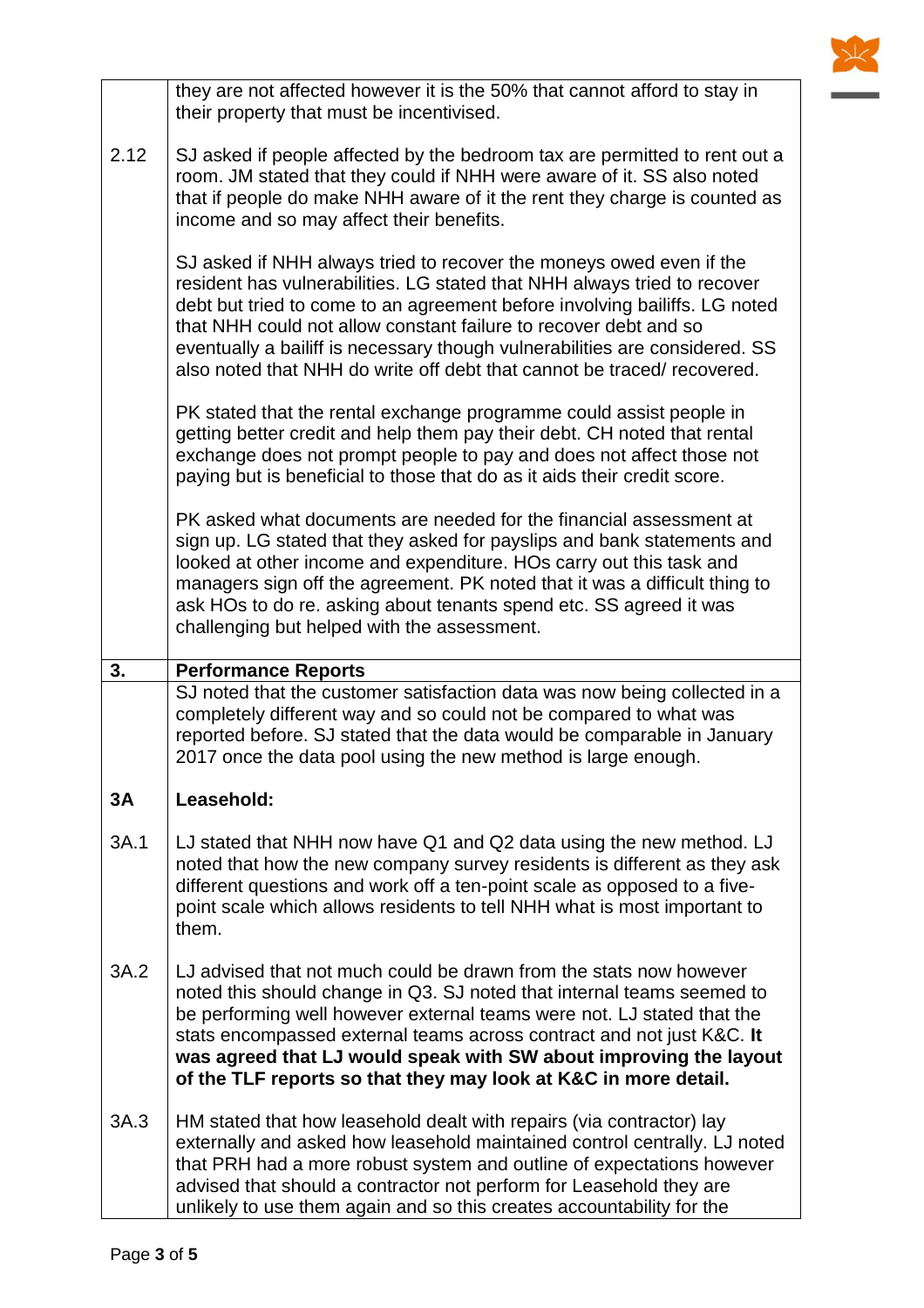|      | they are not affected however it is the 50% that cannot afford to stay in<br>their property that must be incentivised.                                                                                                                                                                                                                                                                                                                                     |
|------|------------------------------------------------------------------------------------------------------------------------------------------------------------------------------------------------------------------------------------------------------------------------------------------------------------------------------------------------------------------------------------------------------------------------------------------------------------|
| 2.12 | SJ asked if people affected by the bedroom tax are permitted to rent out a<br>room. JM stated that they could if NHH were aware of it. SS also noted<br>that if people do make NHH aware of it the rent they charge is counted as<br>income and so may affect their benefits.                                                                                                                                                                              |
|      | SJ asked if NHH always tried to recover the moneys owed even if the<br>resident has vulnerabilities. LG stated that NHH always tried to recover<br>debt but tried to come to an agreement before involving bailiffs. LG noted<br>that NHH could not allow constant failure to recover debt and so<br>eventually a bailiff is necessary though vulnerabilities are considered. SS<br>also noted that NHH do write off debt that cannot be traced/recovered. |
|      | PK stated that the rental exchange programme could assist people in<br>getting better credit and help them pay their debt. CH noted that rental<br>exchange does not prompt people to pay and does not affect those not<br>paying but is beneficial to those that do as it aids their credit score.                                                                                                                                                        |
|      | PK asked what documents are needed for the financial assessment at<br>sign up. LG stated that they asked for payslips and bank statements and<br>looked at other income and expenditure. HOs carry out this task and<br>managers sign off the agreement. PK noted that it was a difficult thing to<br>ask HOs to do re. asking about tenants spend etc. SS agreed it was<br>challenging but helped with the assessment.                                    |
| 3.   | <b>Performance Reports</b>                                                                                                                                                                                                                                                                                                                                                                                                                                 |
|      |                                                                                                                                                                                                                                                                                                                                                                                                                                                            |
|      | SJ noted that the customer satisfaction data was now being collected in a<br>completely different way and so could not be compared to what was<br>reported before. SJ stated that the data would be comparable in January<br>2017 once the data pool using the new method is large enough.                                                                                                                                                                 |
| 3A   | Leasehold:                                                                                                                                                                                                                                                                                                                                                                                                                                                 |
| 3A.1 | LJ stated that NHH now have Q1 and Q2 data using the new method. LJ<br>noted that how the new company survey residents is different as they ask<br>different questions and work off a ten-point scale as opposed to a five-<br>point scale which allows residents to tell NHH what is most important to<br>them.                                                                                                                                           |
| 3A.2 | LJ advised that not much could be drawn from the stats now however<br>noted this should change in Q3. SJ noted that internal teams seemed to<br>be performing well however external teams were not. LJ stated that the<br>stats encompassed external teams across contract and not just K&C. It<br>was agreed that LJ would speak with SW about improving the layout<br>of the TLF reports so that they may look at K&C in more detail.                    |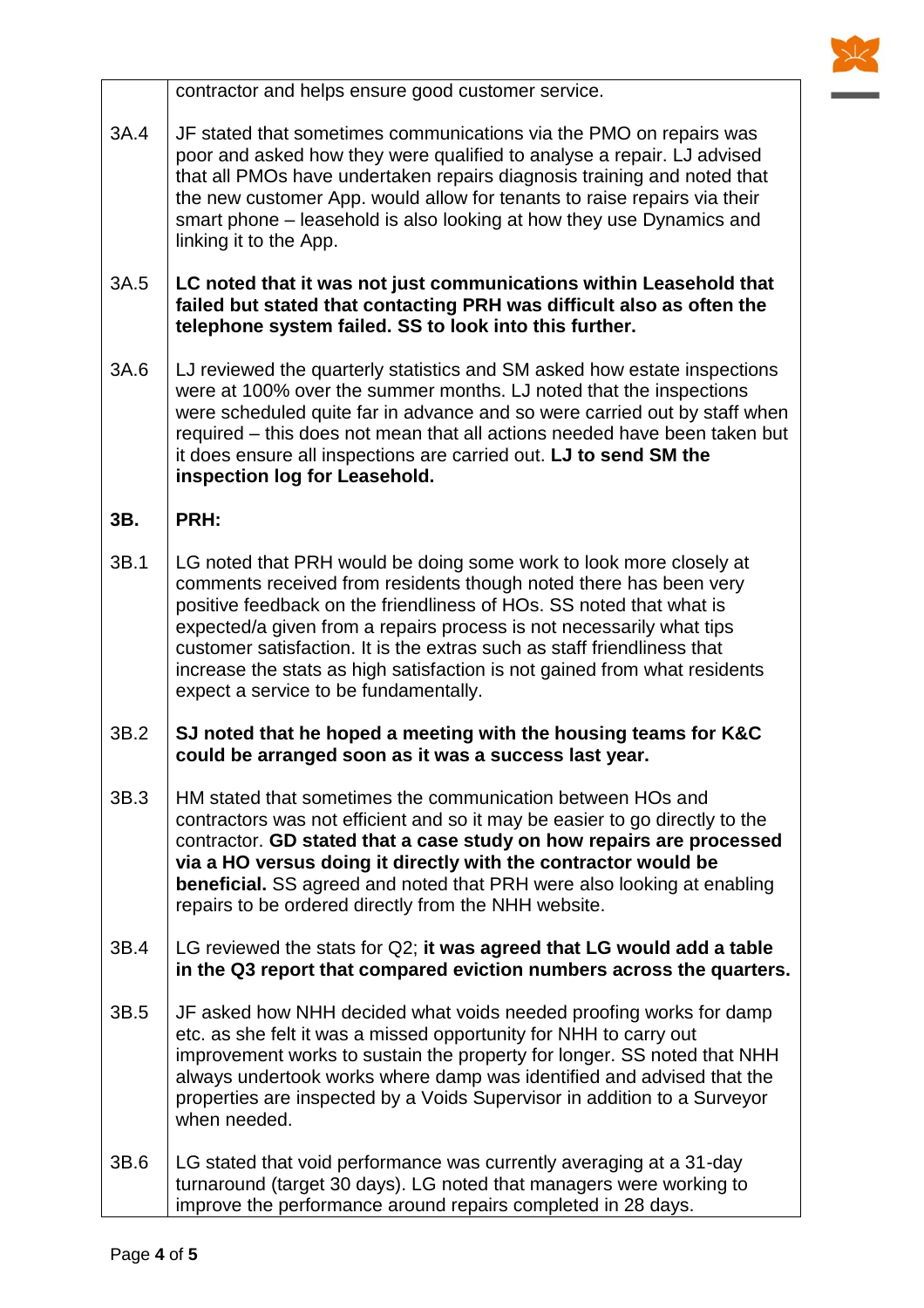

contractor and helps ensure good customer service.

- 3A.4 JF stated that sometimes communications via the PMO on repairs was poor and asked how they were qualified to analyse a repair. LJ advised that all PMOs have undertaken repairs diagnosis training and noted that the new customer App. would allow for tenants to raise repairs via their smart phone – leasehold is also looking at how they use Dynamics and linking it to the App.
- 3A.5 **LC noted that it was not just communications within Leasehold that failed but stated that contacting PRH was difficult also as often the telephone system failed. SS to look into this further.**
- 3A.6 LJ reviewed the quarterly statistics and SM asked how estate inspections were at 100% over the summer months. LJ noted that the inspections were scheduled quite far in advance and so were carried out by staff when required – this does not mean that all actions needed have been taken but it does ensure all inspections are carried out. **LJ to send SM the inspection log for Leasehold.**

## **3B. PRH:**

- 3B.1 LG noted that PRH would be doing some work to look more closely at comments received from residents though noted there has been very positive feedback on the friendliness of HOs. SS noted that what is expected/a given from a repairs process is not necessarily what tips customer satisfaction. It is the extras such as staff friendliness that increase the stats as high satisfaction is not gained from what residents expect a service to be fundamentally.
- 3B.2 **SJ noted that he hoped a meeting with the housing teams for K&C could be arranged soon as it was a success last year.**
- 3B.3 HM stated that sometimes the communication between HOs and contractors was not efficient and so it may be easier to go directly to the contractor. **GD stated that a case study on how repairs are processed via a HO versus doing it directly with the contractor would be beneficial.** SS agreed and noted that PRH were also looking at enabling repairs to be ordered directly from the NHH website.
- 3B.4 LG reviewed the stats for Q2; **it was agreed that LG would add a table in the Q3 report that compared eviction numbers across the quarters.**
- 3B.5 JF asked how NHH decided what voids needed proofing works for damp etc. as she felt it was a missed opportunity for NHH to carry out improvement works to sustain the property for longer. SS noted that NHH always undertook works where damp was identified and advised that the properties are inspected by a Voids Supervisor in addition to a Surveyor when needed.
- 3B.6 LG stated that void performance was currently averaging at a 31-day turnaround (target 30 days). LG noted that managers were working to improve the performance around repairs completed in 28 days.